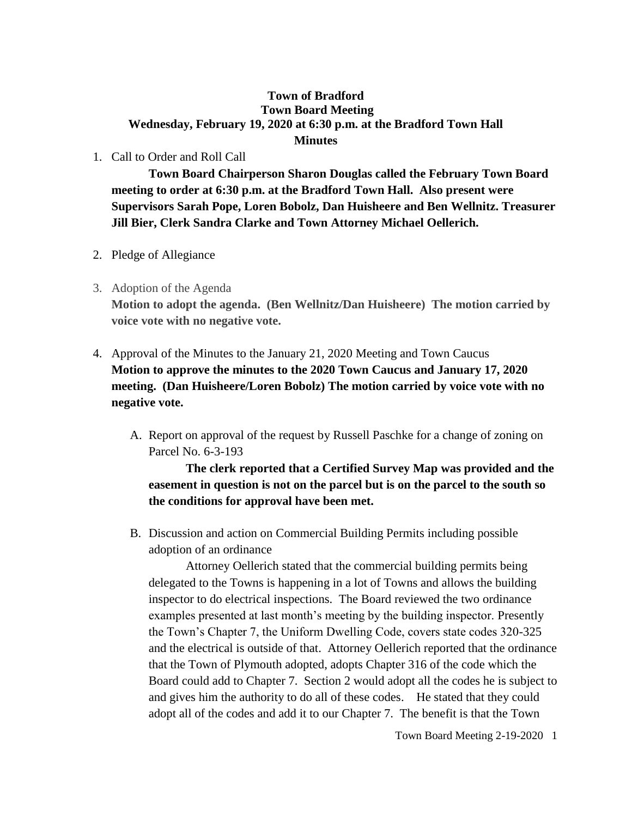## **Town of Bradford Town Board Meeting Wednesday, February 19, 2020 at 6:30 p.m. at the Bradford Town Hall Minutes**

1. Call to Order and Roll Call

**Town Board Chairperson Sharon Douglas called the February Town Board meeting to order at 6:30 p.m. at the Bradford Town Hall. Also present were Supervisors Sarah Pope, Loren Bobolz, Dan Huisheere and Ben Wellnitz. Treasurer Jill Bier, Clerk Sandra Clarke and Town Attorney Michael Oellerich.**

- 2. Pledge of Allegiance
- 3. Adoption of the Agenda

**Motion to adopt the agenda. (Ben Wellnitz/Dan Huisheere) The motion carried by voice vote with no negative vote.**

- 4. Approval of the Minutes to the January 21, 2020 Meeting and Town Caucus **Motion to approve the minutes to the 2020 Town Caucus and January 17, 2020 meeting. (Dan Huisheere/Loren Bobolz) The motion carried by voice vote with no negative vote.**
	- A. Report on approval of the request by Russell Paschke for a change of zoning on Parcel No. 6-3-193

**The clerk reported that a Certified Survey Map was provided and the easement in question is not on the parcel but is on the parcel to the south so the conditions for approval have been met.**

B. Discussion and action on Commercial Building Permits including possible adoption of an ordinance

Attorney Oellerich stated that the commercial building permits being delegated to the Towns is happening in a lot of Towns and allows the building inspector to do electrical inspections. The Board reviewed the two ordinance examples presented at last month's meeting by the building inspector. Presently the Town's Chapter 7, the Uniform Dwelling Code, covers state codes 320-325 and the electrical is outside of that. Attorney Oellerich reported that the ordinance that the Town of Plymouth adopted, adopts Chapter 316 of the code which the Board could add to Chapter 7. Section 2 would adopt all the codes he is subject to and gives him the authority to do all of these codes. He stated that they could adopt all of the codes and add it to our Chapter 7. The benefit is that the Town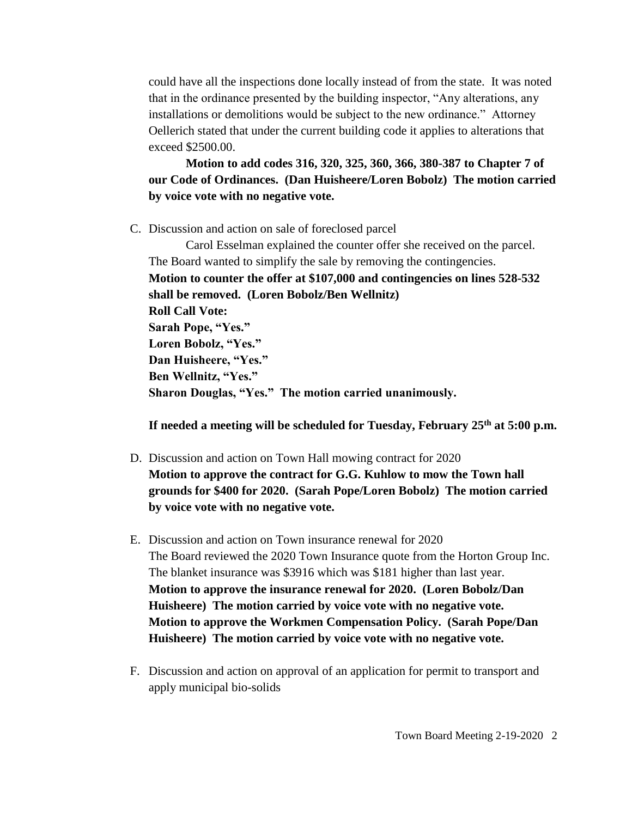could have all the inspections done locally instead of from the state. It was noted that in the ordinance presented by the building inspector, "Any alterations, any installations or demolitions would be subject to the new ordinance." Attorney Oellerich stated that under the current building code it applies to alterations that exceed \$2500.00.

**Motion to add codes 316, 320, 325, 360, 366, 380-387 to Chapter 7 of our Code of Ordinances. (Dan Huisheere/Loren Bobolz) The motion carried by voice vote with no negative vote.**

C. Discussion and action on sale of foreclosed parcel

Carol Esselman explained the counter offer she received on the parcel. The Board wanted to simplify the sale by removing the contingencies. **Motion to counter the offer at \$107,000 and contingencies on lines 528-532 shall be removed. (Loren Bobolz/Ben Wellnitz) Roll Call Vote: Sarah Pope, "Yes." Loren Bobolz, "Yes." Dan Huisheere, "Yes." Ben Wellnitz, "Yes." Sharon Douglas, "Yes." The motion carried unanimously.**

**If needed a meeting will be scheduled for Tuesday, February 25th at 5:00 p.m.**

- D. Discussion and action on Town Hall mowing contract for 2020 **Motion to approve the contract for G.G. Kuhlow to mow the Town hall grounds for \$400 for 2020. (Sarah Pope/Loren Bobolz) The motion carried by voice vote with no negative vote.**
- E. Discussion and action on Town insurance renewal for 2020 The Board reviewed the 2020 Town Insurance quote from the Horton Group Inc. The blanket insurance was \$3916 which was \$181 higher than last year. **Motion to approve the insurance renewal for 2020. (Loren Bobolz/Dan Huisheere) The motion carried by voice vote with no negative vote. Motion to approve the Workmen Compensation Policy. (Sarah Pope/Dan Huisheere) The motion carried by voice vote with no negative vote.**
- F. Discussion and action on approval of an application for permit to transport and apply municipal bio-solids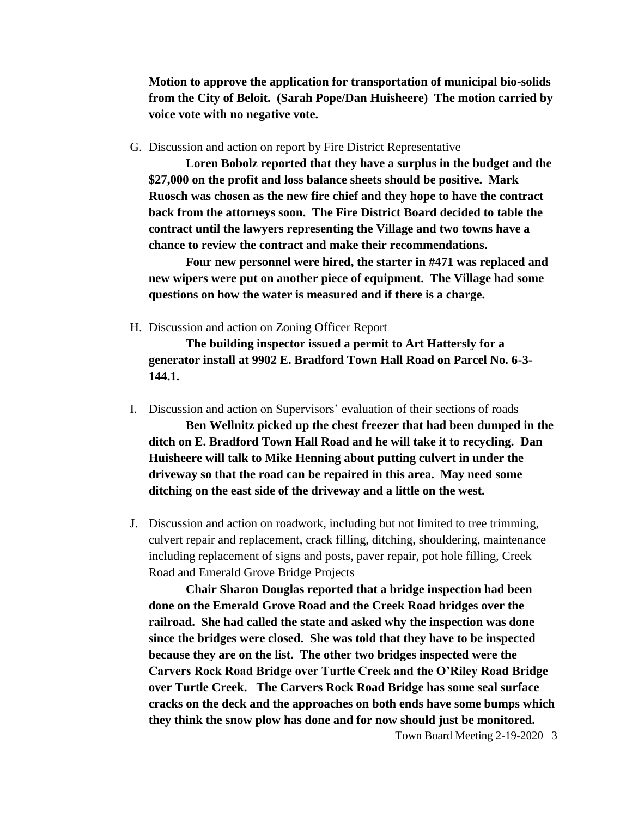**Motion to approve the application for transportation of municipal bio-solids from the City of Beloit. (Sarah Pope/Dan Huisheere) The motion carried by voice vote with no negative vote.**

G. Discussion and action on report by Fire District Representative

**Loren Bobolz reported that they have a surplus in the budget and the \$27,000 on the profit and loss balance sheets should be positive. Mark Ruosch was chosen as the new fire chief and they hope to have the contract back from the attorneys soon. The Fire District Board decided to table the contract until the lawyers representing the Village and two towns have a chance to review the contract and make their recommendations.**

**Four new personnel were hired, the starter in #471 was replaced and new wipers were put on another piece of equipment. The Village had some questions on how the water is measured and if there is a charge.**

H. Discussion and action on Zoning Officer Report

**The building inspector issued a permit to Art Hattersly for a generator install at 9902 E. Bradford Town Hall Road on Parcel No. 6-3- 144.1.** 

- I. Discussion and action on Supervisors' evaluation of their sections of roads **Ben Wellnitz picked up the chest freezer that had been dumped in the ditch on E. Bradford Town Hall Road and he will take it to recycling. Dan Huisheere will talk to Mike Henning about putting culvert in under the driveway so that the road can be repaired in this area. May need some ditching on the east side of the driveway and a little on the west.**
- J. Discussion and action on roadwork, including but not limited to tree trimming, culvert repair and replacement, crack filling, ditching, shouldering, maintenance including replacement of signs and posts, paver repair, pot hole filling, Creek Road and Emerald Grove Bridge Projects

**Chair Sharon Douglas reported that a bridge inspection had been done on the Emerald Grove Road and the Creek Road bridges over the railroad. She had called the state and asked why the inspection was done since the bridges were closed. She was told that they have to be inspected because they are on the list. The other two bridges inspected were the Carvers Rock Road Bridge over Turtle Creek and the O'Riley Road Bridge over Turtle Creek. The Carvers Rock Road Bridge has some seal surface cracks on the deck and the approaches on both ends have some bumps which they think the snow plow has done and for now should just be monitored.**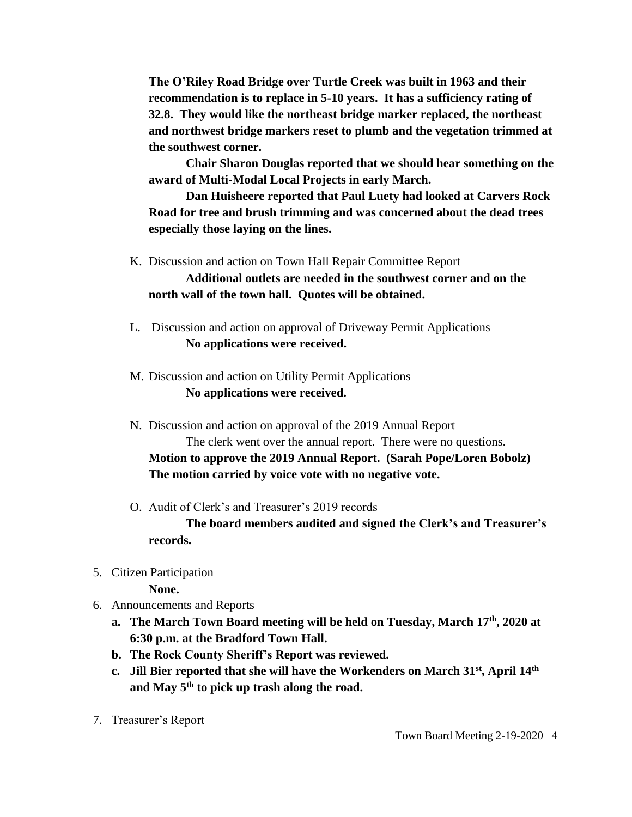**The O'Riley Road Bridge over Turtle Creek was built in 1963 and their recommendation is to replace in 5-10 years. It has a sufficiency rating of 32.8. They would like the northeast bridge marker replaced, the northeast and northwest bridge markers reset to plumb and the vegetation trimmed at the southwest corner.**

**Chair Sharon Douglas reported that we should hear something on the award of Multi-Modal Local Projects in early March.**

**Dan Huisheere reported that Paul Luety had looked at Carvers Rock Road for tree and brush trimming and was concerned about the dead trees especially those laying on the lines.** 

K. Discussion and action on Town Hall Repair Committee Report

**Additional outlets are needed in the southwest corner and on the north wall of the town hall. Quotes will be obtained.**

- L. Discussion and action on approval of Driveway Permit Applications **No applications were received.**
- M. Discussion and action on Utility Permit Applications **No applications were received.**
- N. Discussion and action on approval of the 2019 Annual Report The clerk went over the annual report. There were no questions. **Motion to approve the 2019 Annual Report. (Sarah Pope/Loren Bobolz) The motion carried by voice vote with no negative vote.**
- O. Audit of Clerk's and Treasurer's 2019 records

**The board members audited and signed the Clerk's and Treasurer's records.**

5. Citizen Participation

**None.**

- 6. Announcements and Reports
	- **a. The March Town Board meeting will be held on Tuesday, March 17th, 2020 at 6:30 p.m. at the Bradford Town Hall.**
	- **b. The Rock County Sheriff's Report was reviewed.**
	- **c. Jill Bier reported that she will have the Workenders on March 31st, April 14th and May 5th to pick up trash along the road.**
- 7. Treasurer's Report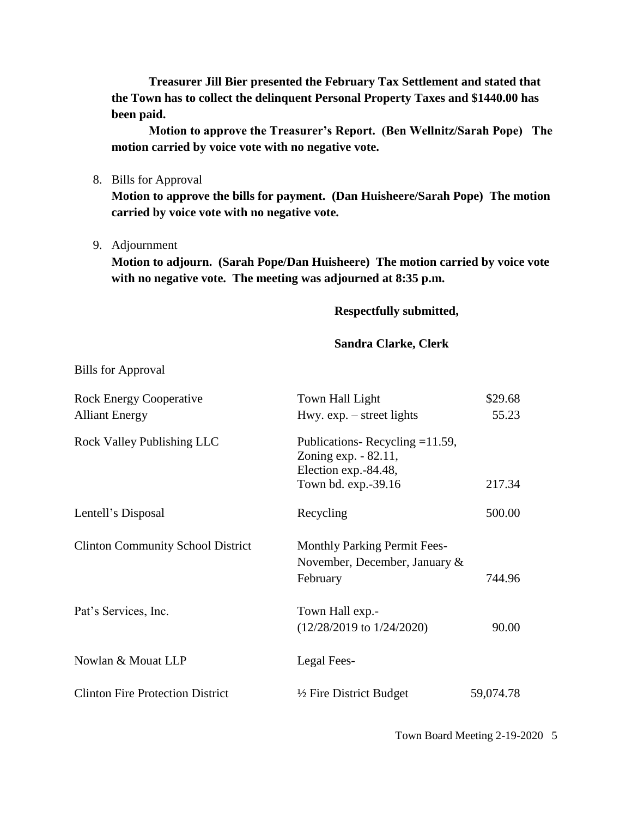**Treasurer Jill Bier presented the February Tax Settlement and stated that the Town has to collect the delinquent Personal Property Taxes and \$1440.00 has been paid.**

**Motion to approve the Treasurer's Report. (Ben Wellnitz/Sarah Pope) The motion carried by voice vote with no negative vote.**

8. Bills for Approval

**Motion to approve the bills for payment. (Dan Huisheere/Sarah Pope) The motion carried by voice vote with no negative vote.**

9. Adjournment

**Motion to adjourn. (Sarah Pope/Dan Huisheere) The motion carried by voice vote with no negative vote. The meeting was adjourned at 8:35 p.m.**

## **Respectfully submitted,**

## **Sandra Clarke, Clerk**

Bills for Approval

| <b>Rock Energy Cooperative</b>           | \$29.68<br>Town Hall Light                                                        |           |
|------------------------------------------|-----------------------------------------------------------------------------------|-----------|
| <b>Alliant Energy</b>                    | Hwy. $exp. - street$ lights                                                       | 55.23     |
| Rock Valley Publishing LLC               | Publications-Recycling $=11.59$ ,<br>Zoning exp. - 82.11,<br>Election exp.-84.48, |           |
|                                          | Town bd. exp.-39.16                                                               | 217.34    |
| Lentell's Disposal                       | Recycling                                                                         | 500.00    |
| <b>Clinton Community School District</b> | <b>Monthly Parking Permit Fees-</b>                                               |           |
|                                          | November, December, January $\&$                                                  |           |
|                                          | February                                                                          | 744.96    |
| Pat's Services, Inc.                     | Town Hall exp.-                                                                   |           |
|                                          | $(12/28/2019)$ to $1/24/2020$ )                                                   | 90.00     |
| Nowlan & Mouat LLP                       | Legal Fees-                                                                       |           |
| <b>Clinton Fire Protection District</b>  | $\frac{1}{2}$ Fire District Budget                                                | 59,074.78 |